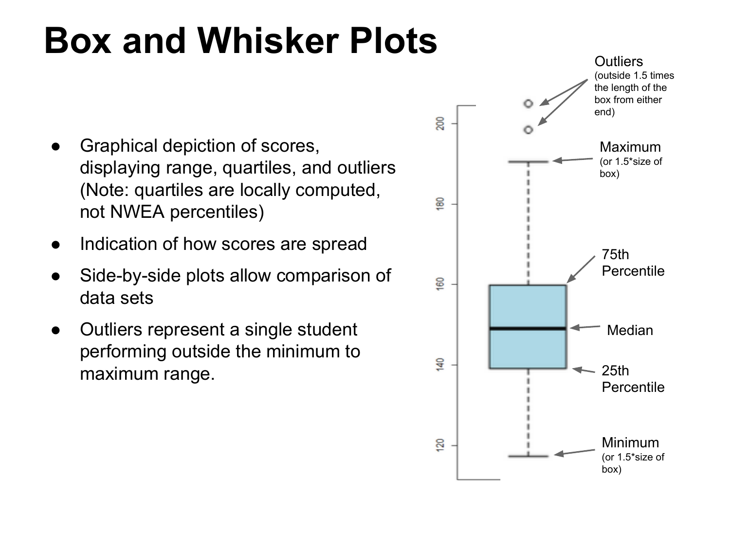## **Box and Whisker Plots**

- Graphical depiction of scores, displaying range, quartiles, and outliers (Note: quartiles are locally computed, not NWEA percentiles)
- Indication of how scores are spread
- Side-by-side plots allow comparison of data sets
- Outliers represent a single student performing outside the minimum to maximum range.

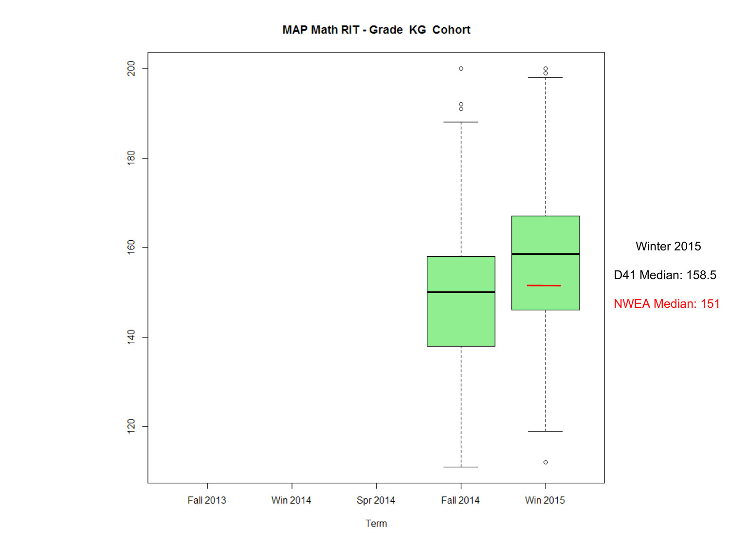**MAP Math RIT - Grade KG Cohort** 

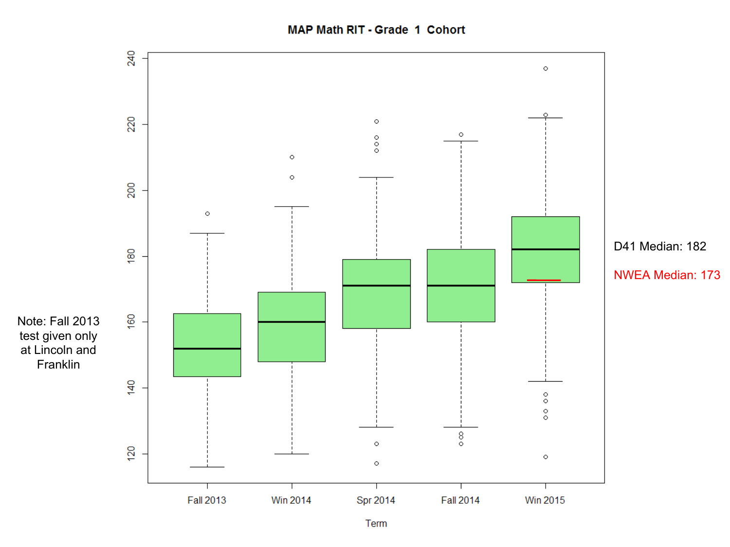**MAP Math RIT - Grade 1 Cohort** 

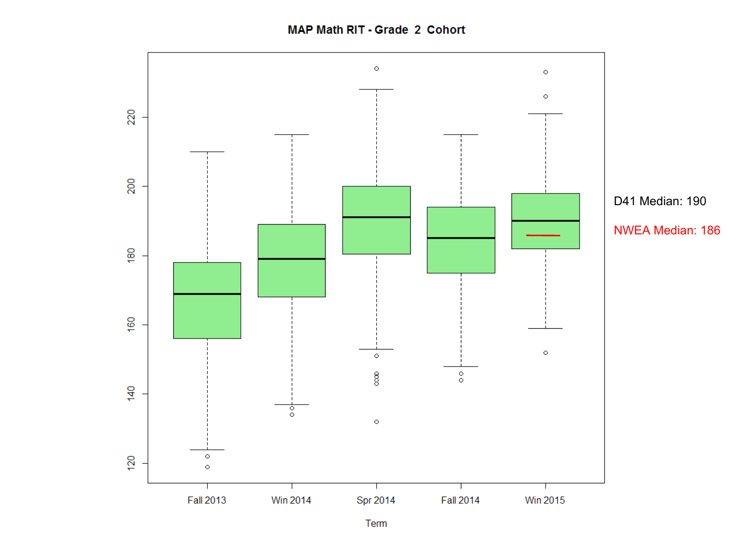**MAP Math RIT - Grade 2 Cohort** 

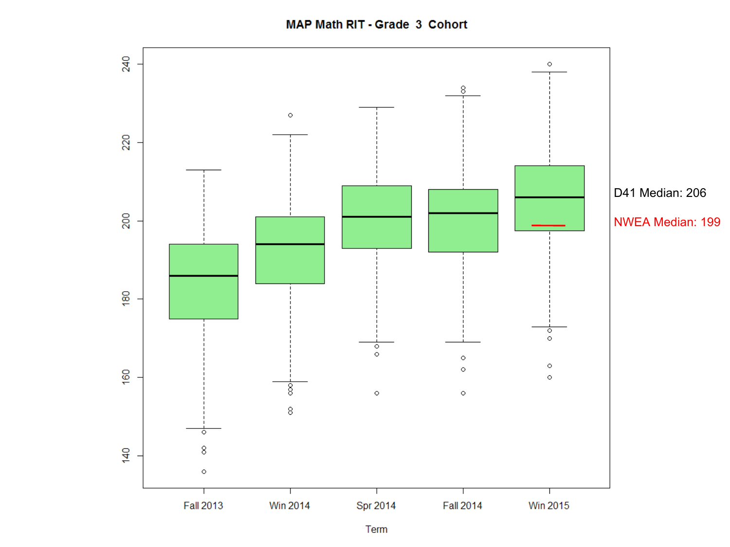MAP Math RIT - Grade 3 Cohort



Term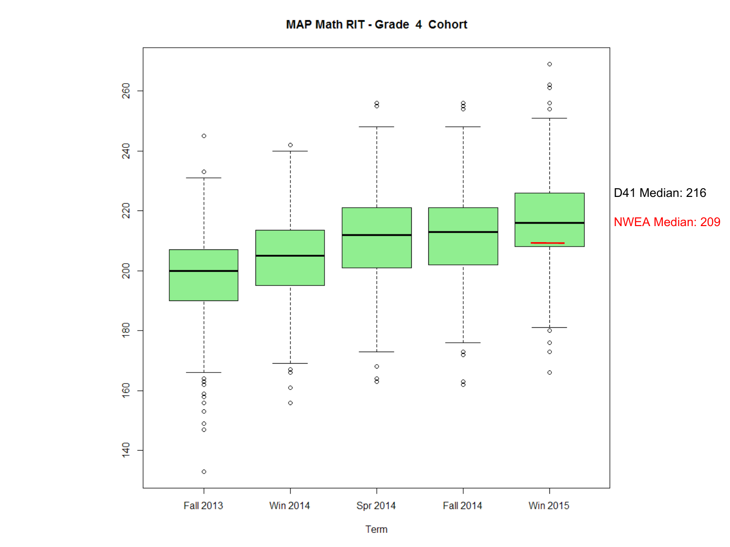**MAP Math RIT - Grade 4 Cohort** 

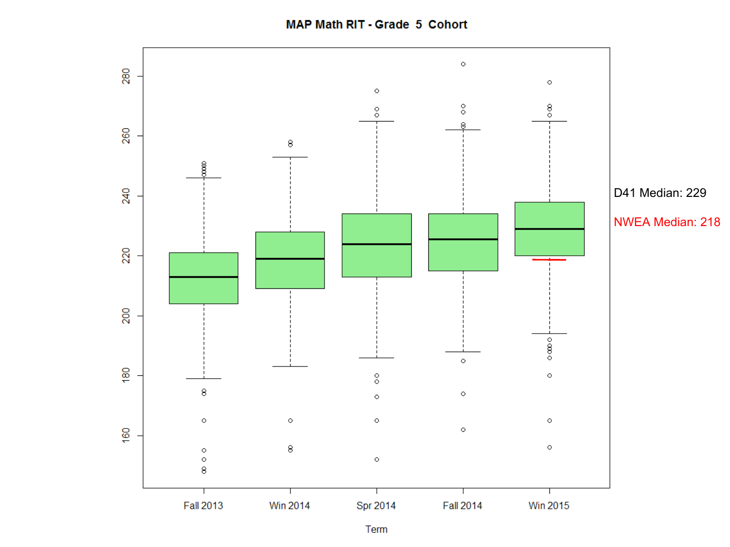**MAP Math RIT - Grade 5 Cohort** 

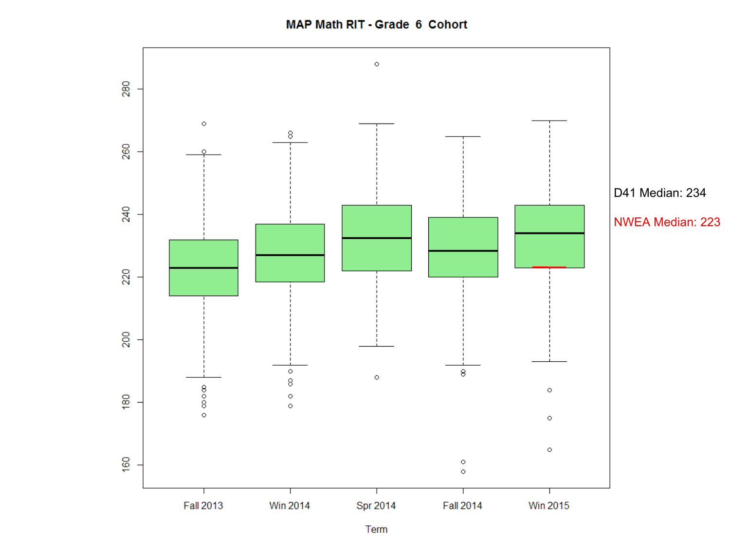MAP Math RIT - Grade 6 Cohort

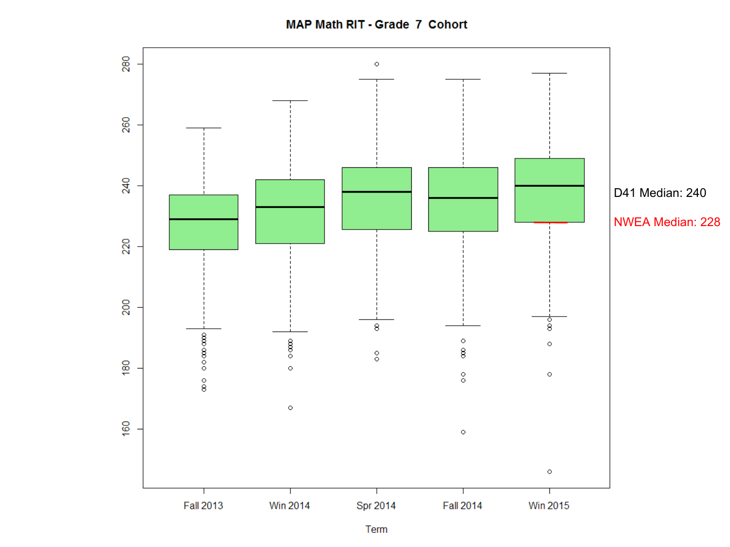**MAP Math RIT - Grade 7 Cohort** 

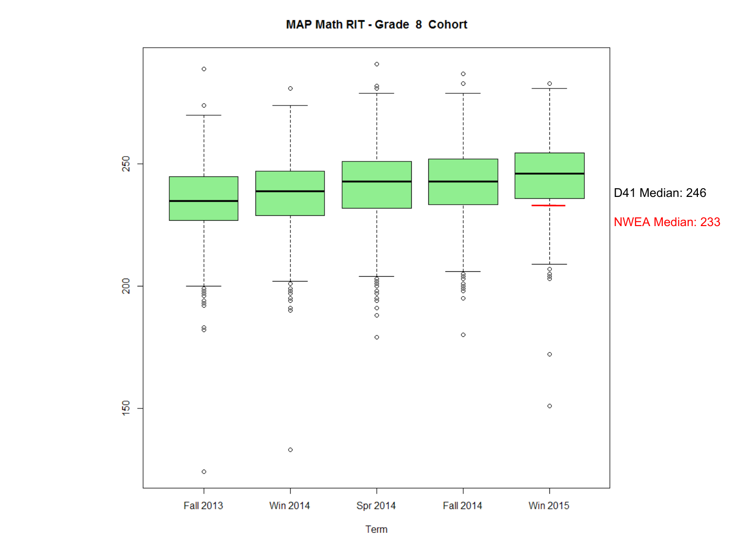**MAP Math RIT - Grade 8 Cohort** 

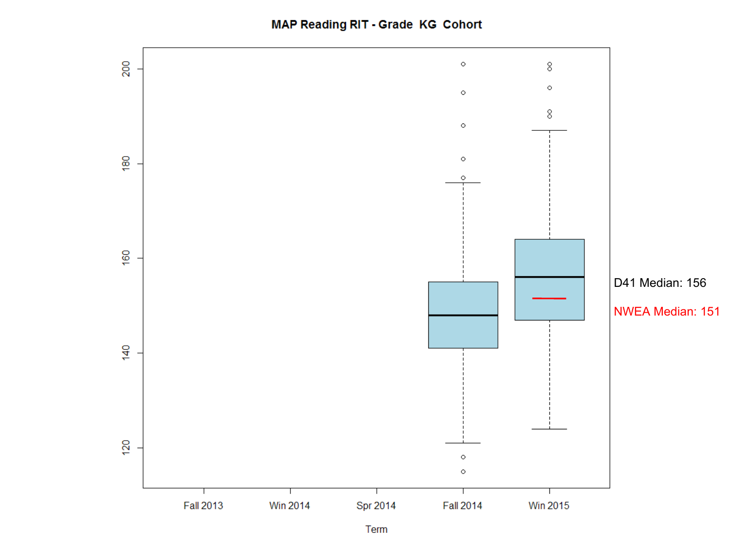**MAP Reading RIT - Grade KG Cohort** 

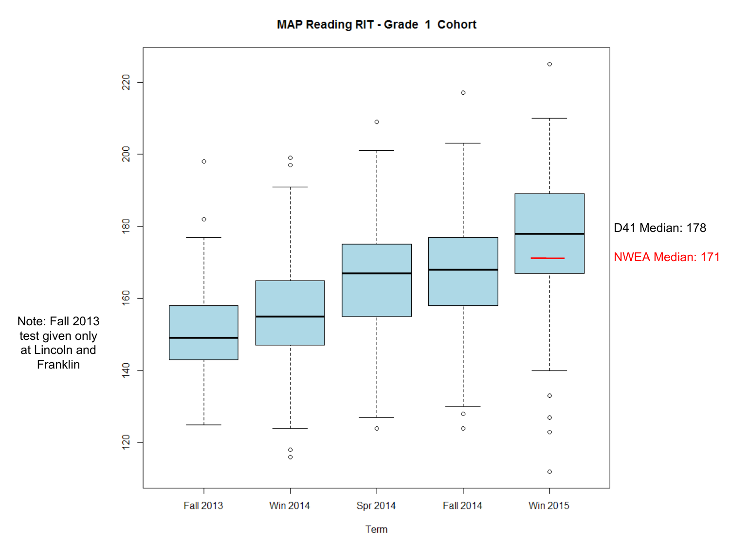**MAP Reading RIT - Grade 1 Cohort** 



Term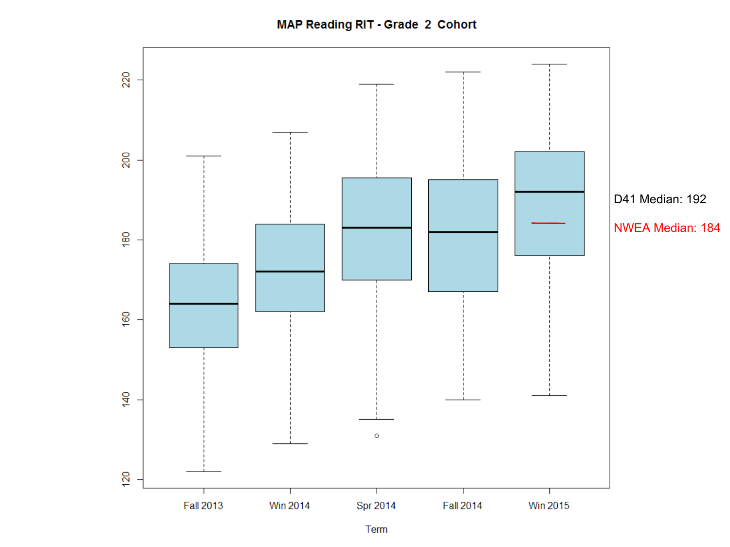**MAP Reading RIT - Grade 2 Cohort** 

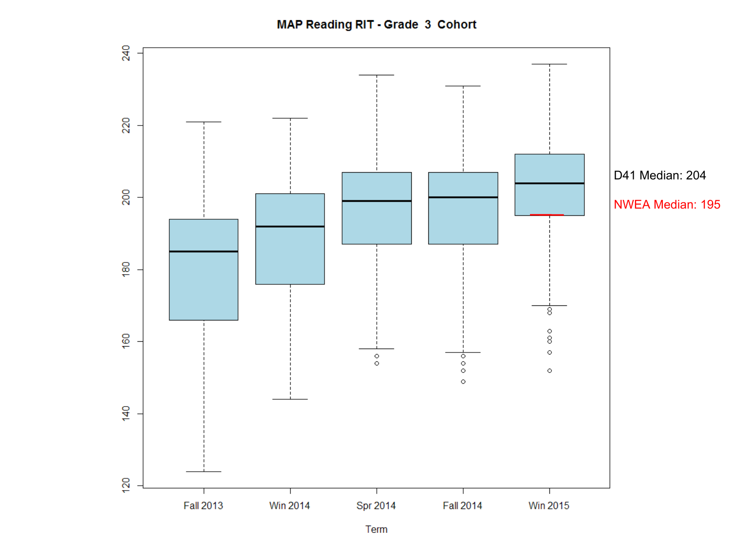**MAP Reading RIT - Grade 3 Cohort** 

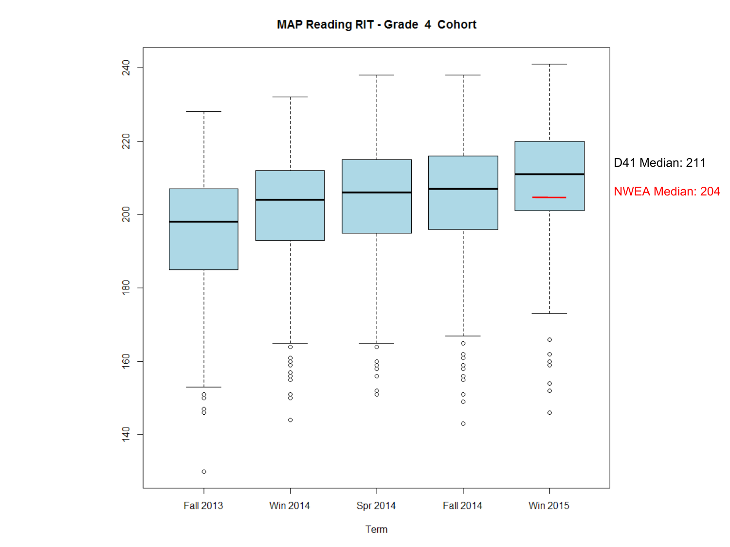**MAP Reading RIT - Grade 4 Cohort** 

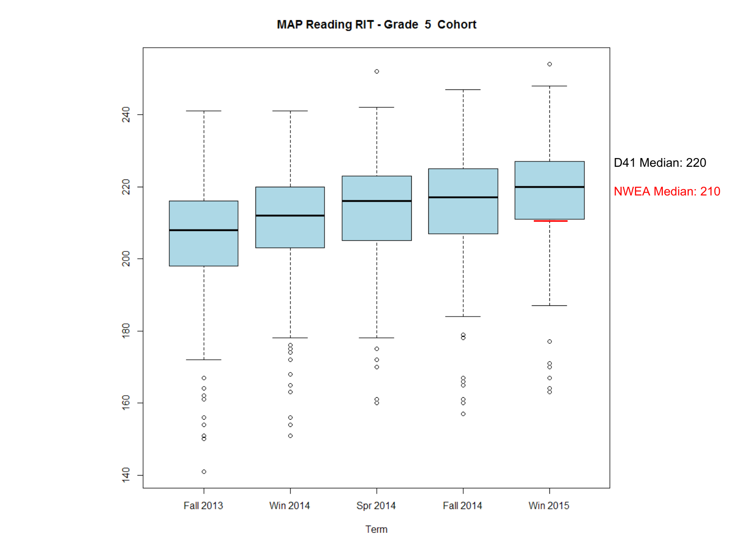**MAP Reading RIT - Grade 5 Cohort** 



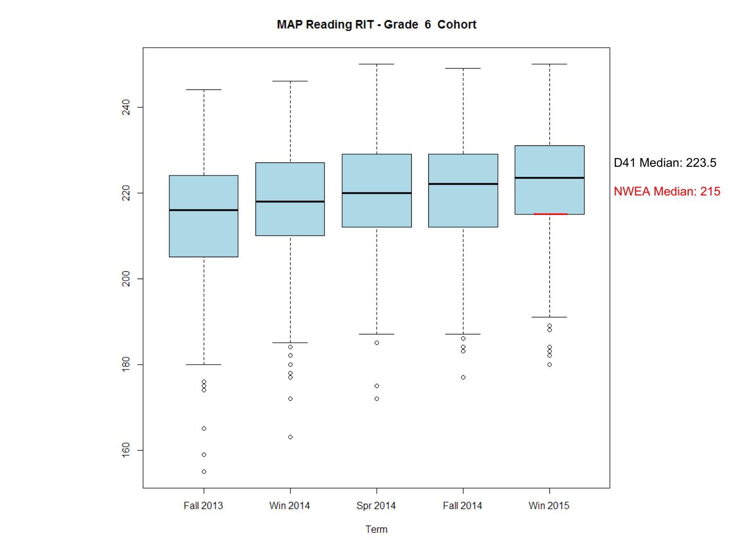**MAP Reading RIT - Grade 6 Cohort** 

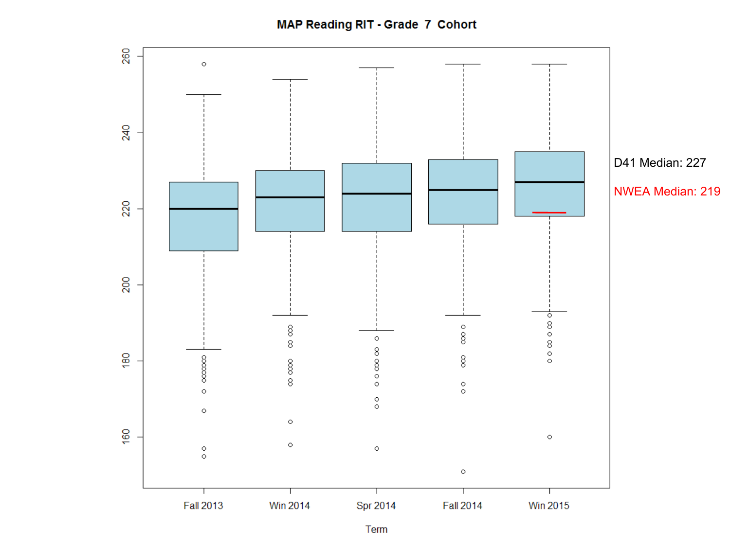**MAP Reading RIT - Grade 7 Cohort**